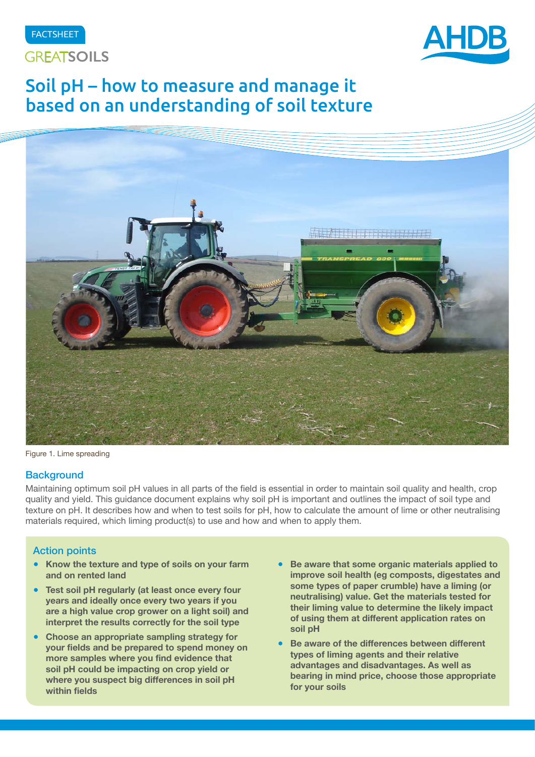





# Soil pH – how to measure and manage it based on an understanding of soil texture



Figure 1. Lime spreading

### **Background**

Maintaining optimum soil pH values in all parts of the field is essential in order to maintain soil quality and health, crop quality and yield. This guidance document explains why soil pH is important and outlines the impact of soil type and texture on pH. It describes how and when to test soils for pH, how to calculate the amount of lime or other neutralising materials required, which liming product(s) to use and how and when to apply them.

## Action points

- **Know the texture and type of soils on your farm and on rented land**
- **Test soil pH regularly (at least once every four years and ideally once every two years if you are a high value crop grower on a light soil) and interpret the results correctly for the soil type**
- **Choose an appropriate sampling strategy for your fields and be prepared to spend money on more samples where you find evidence that soil pH could be impacting on crop yield or where you suspect big differences in soil pH within fields**
- Be aware that some organic materials applied to **improve soil health (eg composts, digestates and some types of paper crumble) have a liming (or neutralising) value. Get the materials tested for their liming value to determine the likely impact of using them at different application rates on soil pH**
- **Be aware of the differences between different types of liming agents and their relative advantages and disadvantages. As well as bearing in mind price, choose those appropriate for your soils**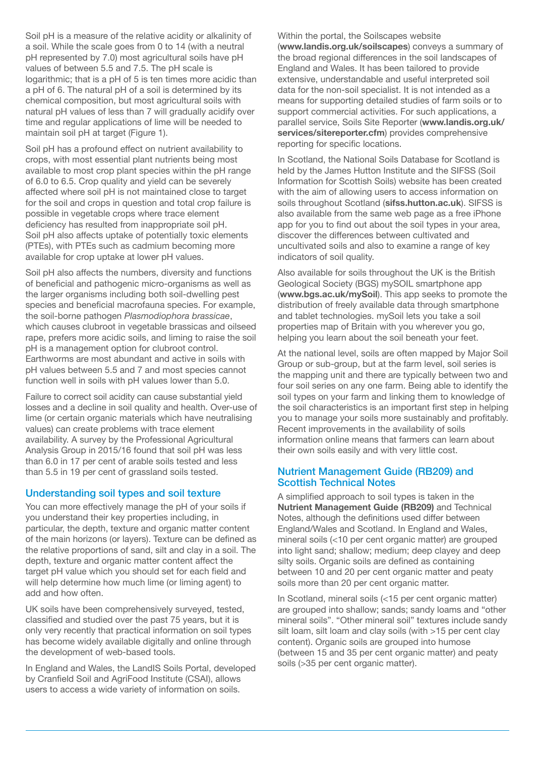Soil pH is a measure of the relative acidity or alkalinity of a soil. While the scale goes from 0 to 14 (with a neutral pH represented by 7.0) most agricultural soils have pH values of between 5.5 and 7.5. The pH scale is logarithmic; that is a pH of 5 is ten times more acidic than a pH of 6. The natural pH of a soil is determined by its chemical composition, but most agricultural soils with natural pH values of less than 7 will gradually acidify over time and regular applications of lime will be needed to maintain soil pH at target (Figure 1).

Soil pH has a profound effect on nutrient availability to crops, with most essential plant nutrients being most available to most crop plant species within the pH range of 6.0 to 6.5. Crop quality and yield can be severely affected where soil pH is not maintained close to target for the soil and crops in question and total crop failure is possible in vegetable crops where trace element deficiency has resulted from inappropriate soil pH. Soil pH also affects uptake of potentially toxic elements (PTEs), with PTEs such as cadmium becoming more available for crop uptake at lower pH values.

Soil pH also affects the numbers, diversity and functions of beneficial and pathogenic micro-organisms as well as the larger organisms including both soil-dwelling pest species and beneficial macrofauna species. For example, the soil-borne pathogen *Plasmodiophora brassicae*, which causes clubroot in vegetable brassicas and oilseed rape, prefers more acidic soils, and liming to raise the soil pH is a management option for clubroot control. Earthworms are most abundant and active in soils with pH values between 5.5 and 7 and most species cannot function well in soils with pH values lower than 5.0.

Failure to correct soil acidity can cause substantial yield losses and a decline in soil quality and health. Over-use of lime (or certain organic materials which have neutralising values) can create problems with trace element availability. A survey by the Professional Agricultural Analysis Group in 2015/16 found that soil pH was less than 6.0 in 17 per cent of arable soils tested and less than 5.5 in 19 per cent of grassland soils tested.

### Understanding soil types and soil texture

You can more effectively manage the pH of your soils if you understand their key properties including, in particular, the depth, texture and organic matter content of the main horizons (or layers). Texture can be defined as the relative proportions of sand, silt and clay in a soil. The depth, texture and organic matter content affect the target pH value which you should set for each field and will help determine how much lime (or liming agent) to add and how often.

UK soils have been comprehensively surveyed, tested, classified and studied over the past 75 years, but it is only very recently that practical information on soil types has become widely available digitally and online through the development of web-based tools.

In England and Wales, the LandIS Soils Portal, developed by Cranfield Soil and AgriFood Institute (CSAI), allows users to access a wide variety of information on soils.

Within the portal, the Soilscapes website (**[www.landis.org.uk/soilscapes](http://www.landis.org.uk/soilscapes)**) conveys a summary of the broad regional differences in the soil landscapes of England and Wales. It has been tailored to provide extensive, understandable and useful interpreted soil data for the non-soil specialist. It is not intended as a means for supporting detailed studies of farm soils or to support commercial activities. For such applications, a parallel service, Soils Site Reporter (**[www.landis.org.uk/](http://www.landis.org.uk/services/sitereporter.cfm) [services/sitereporter.cfm](http://www.landis.org.uk/services/sitereporter.cfm)**) provides comprehensive reporting for specific locations.

In Scotland, the National Soils Database for Scotland is held by the James Hutton Institute and the SIFSS (Soil Information for Scottish Soils) website has been created with the aim of allowing users to access information on soils throughout Scotland (**[sifss.hutton.ac.uk](http://sifss.hutton.ac.uk)**). SIFSS is also available from the same web page as a free iPhone app for you to find out about the soil types in your area, discover the differences between cultivated and uncultivated soils and also to examine a range of key indicators of soil quality.

Also available for soils throughout the UK is the British Geological Society (BGS) mySOIL smartphone app (**[www.bgs.ac.uk/mySoil](http://www.bgs.ac.uk/mySoil)**). This app seeks to promote the distribution of freely available data through smartphone and tablet technologies. mySoil lets you take a soil properties map of Britain with you wherever you go, helping you learn about the soil beneath your feet.

At the national level, soils are often mapped by Major Soil Group or sub-group, but at the farm level, soil series is the mapping unit and there are typically between two and four soil series on any one farm. Being able to identify the soil types on your farm and linking them to knowledge of the soil characteristics is an important first step in helping you to manage your soils more sustainably and profitably. Recent improvements in the availability of soils information online means that farmers can learn about their own soils easily and with very little cost.

## Nutrient Management Guide (RB209) and Scottish Technical Notes

A simplified approach to soil types is taken in the **[Nutrient Management Guide \(RB209\)](http://www.ahdb.org.uk/projects/RB209.aspx)** and Technical Notes, although the definitions used differ between England/Wales and Scotland. In England and Wales, mineral soils (<10 per cent organic matter) are grouped into light sand; shallow; medium; deep clayey and deep silty soils. Organic soils are defined as containing between 10 and 20 per cent organic matter and peaty soils more than 20 per cent organic matter.

In Scotland, mineral soils (<15 per cent organic matter) are grouped into shallow; sands; sandy loams and "other mineral soils". "Other mineral soil" textures include sandy silt loam, silt loam and clay soils (with >15 per cent clay content). Organic soils are grouped into humose (between 15 and 35 per cent organic matter) and peaty soils (>35 per cent organic matter).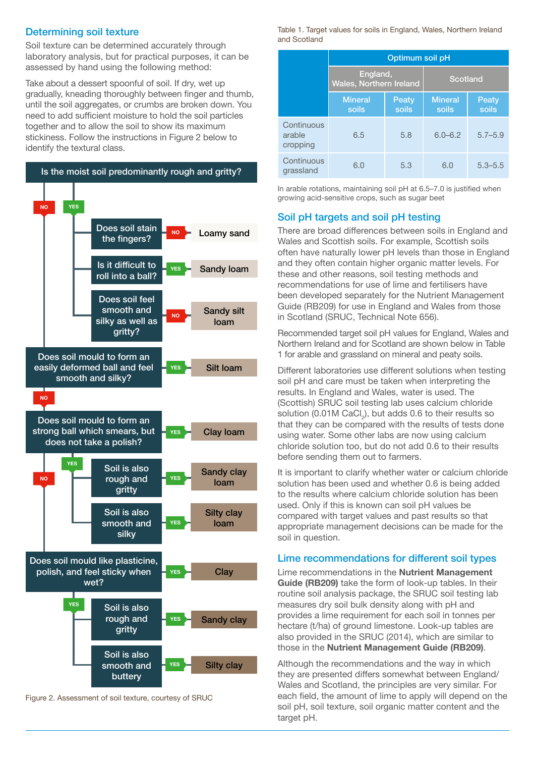## Determining soil texture

Soil texture can be determined accurately through laboratory analysis, but for practical purposes, it can be assessed by hand using the following method:

Take about a dessert spoonful of soil. If dry, wet up gradually, kneading thoroughly between finger and thumb, until the soil aggregates, or crumbs are broken down. You need to add sufficient moisture to hold the soil particles together and to allow the soil to show its maximum stickiness. Follow the instructions in Figure 2 below to identify the textural class.



Figure 2. Assessment of soil texture, courtesy of SRUC

Table 1. Target values for soils in England, Wales, Northern Ireland and Scotland

|                                  | Optimum soil pH                            |                |                         |                       |  |  |  |
|----------------------------------|--------------------------------------------|----------------|-------------------------|-----------------------|--|--|--|
|                                  | England,<br><b>Wales, Northern Ireland</b> |                | Scotland                |                       |  |  |  |
|                                  | <b>Mineral</b><br>soils                    | Peaty<br>soils | <b>Mineral</b><br>soils | <b>Peaty</b><br>soils |  |  |  |
| Continuous<br>arable<br>cropping | 6.5                                        | 5.8            | $6.0 - 6.2$             | $5.7 - 5.9$           |  |  |  |
| Continuous<br>grassland          | 6.0                                        | 5.3            | 6.0                     | $5.3 - 5.5$           |  |  |  |

In arable rotations, maintaining soil pH at 6.5–7.0 is justified when growing acid-sensitive crops, such as sugar beet

# Soil pH targets and soil pH testing

There are broad differences between soils in England and Wales and Scottish soils. For example, Scottish soils often have naturally lower pH levels than those in England and they often contain higher organic matter levels. For these and other reasons, soil testing methods and recommendations for use of lime and fertilisers have been developed separately for the Nutrient Management Guide (RB209) for use in England and Wales from those in Scotland (SRUC, Technical Note 656).

Recommended target soil pH values for England, Wales and Northern Ireland and for Scotland are shown below in Table 1 for arable and grassland on mineral and peaty soils.

Different laboratories use different solutions when testing soil pH and care must be taken when interpreting the results. In England and Wales, water is used. The (Scottish) SRUC soil testing lab uses calcium chloride solution (0.01M CaCl<sub>2</sub>), but adds 0.6 to their results so that they can be compared with the results of tests done using water. Some other labs are now using calcium chloride solution too, but do not add 0.6 to their results before sending them out to farmers.

It is important to clarify whether water or calcium chloride solution has been used and whether 0.6 is being added to the results where calcium chloride solution has been used. Only if this is known can soil pH values be compared with target values and past results so that appropriate management decisions can be made for the soil in question.

# Lime recommendations for different soil types

Lime recommendations in the **Nutrient Management Guide (RB209)** take the form of look-up tables. In their routine soil analysis package, the SRUC soil testing lab measures dry soil bulk density along with pH and provides a lime requirement for each soil in tonnes per hectare (t/ha) of ground limestone. Look-up tables are also provided in the SRUC (2014), which are similar to those in the **Nutrient Management Guide (RB209)**.

Although the recommendations and the way in which they are presented differs somewhat between England/ Wales and Scotland, the principles are very similar. For each field, the amount of lime to apply will depend on the soil pH, soil texture, soil organic matter content and the target pH.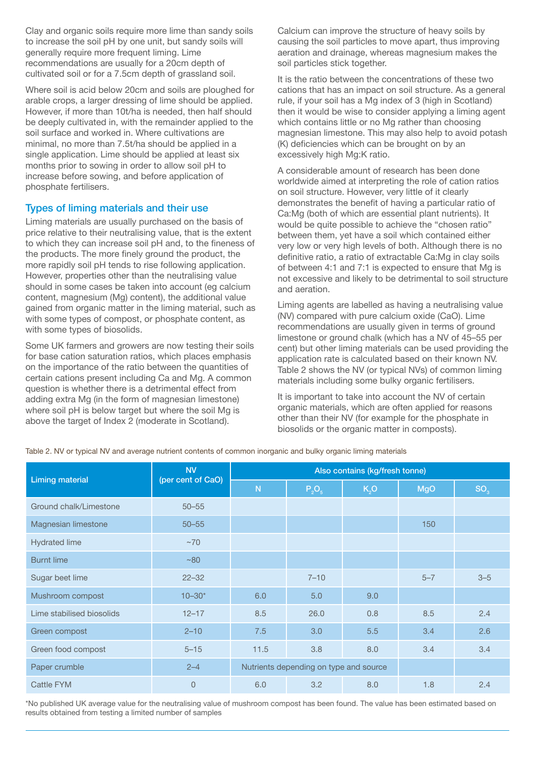Clay and organic soils require more lime than sandy soils to increase the soil pH by one unit, but sandy soils will generally require more frequent liming. Lime recommendations are usually for a 20cm depth of cultivated soil or for a 7.5cm depth of grassland soil.

Where soil is acid below 20cm and soils are ploughed for arable crops, a larger dressing of lime should be applied. However, if more than 10t/ha is needed, then half should be deeply cultivated in, with the remainder applied to the soil surface and worked in. Where cultivations are minimal, no more than 7.5t/ha should be applied in a single application. Lime should be applied at least six months prior to sowing in order to allow soil pH to increase before sowing, and before application of phosphate fertilisers.

# Types of liming materials and their use

Liming materials are usually purchased on the basis of price relative to their neutralising value, that is the extent to which they can increase soil pH and, to the fineness of the products. The more finely ground the product, the more rapidly soil pH tends to rise following application. However, properties other than the neutralising value should in some cases be taken into account (eg calcium content, magnesium (Mg) content), the additional value gained from organic matter in the liming material, such as with some types of compost, or phosphate content, as with some types of biosolids.

Some UK farmers and growers are now testing their soils for base cation saturation ratios, which places emphasis on the importance of the ratio between the quantities of certain cations present including Ca and Mg. A common question is whether there is a detrimental effect from adding extra Mg (in the form of magnesian limestone) where soil pH is below target but where the soil Mg is above the target of Index 2 (moderate in Scotland).

Calcium can improve the structure of heavy soils by causing the soil particles to move apart, thus improving aeration and drainage, whereas magnesium makes the soil particles stick together.

It is the ratio between the concentrations of these two cations that has an impact on soil structure. As a general rule, if your soil has a Mg index of 3 (high in Scotland) then it would be wise to consider applying a liming agent which contains little or no Mg rather than choosing magnesian limestone. This may also help to avoid potash (K) deficiencies which can be brought on by an excessively high Mg:K ratio.

A considerable amount of research has been done worldwide aimed at interpreting the role of cation ratios on soil structure. However, very little of it clearly demonstrates the benefit of having a particular ratio of Ca:Mg (both of which are essential plant nutrients). It would be quite possible to achieve the "chosen ratio" between them, yet have a soil which contained either very low or very high levels of both. Although there is no definitive ratio, a ratio of extractable Ca:Mg in clay soils of between 4:1 and 7:1 is expected to ensure that Mg is not excessive and likely to be detrimental to soil structure and aeration.

Liming agents are labelled as having a neutralising value (NV) compared with pure calcium oxide (CaO). Lime recommendations are usually given in terms of ground limestone or ground chalk (which has a NV of 45–55 per cent) but other liming materials can be used providing the application rate is calculated based on their known NV. Table 2 shows the NV (or typical NVs) of common liming materials including some bulky organic fertilisers.

It is important to take into account the NV of certain organic materials, which are often applied for reasons other than their NV (for example for the phosphate in biosolids or the organic matter in composts).

Table 2. NV or typical NV and average nutrient contents of common inorganic and bulky organic liming materials

| <b>Liming material</b>    | <b>NV</b><br>(per cent of CaO) | Also contains (kg/fresh tonne)         |          |                  |            |                 |  |
|---------------------------|--------------------------------|----------------------------------------|----------|------------------|------------|-----------------|--|
|                           |                                | N                                      | $P_2O_5$ | K <sub>2</sub> O | <b>MgO</b> | SO <sub>3</sub> |  |
| Ground chalk/Limestone    | $50 - 55$                      |                                        |          |                  |            |                 |  |
| Magnesian limestone       | $50 - 55$                      |                                        |          |                  | 150        |                 |  |
| <b>Hydrated lime</b>      | $~1$ ~70                       |                                        |          |                  |            |                 |  |
| <b>Burnt lime</b>         | ~80                            |                                        |          |                  |            |                 |  |
| Sugar beet lime           | $22 - 32$                      |                                        | $7 - 10$ |                  | $5 - 7$    | $3 - 5$         |  |
| Mushroom compost          | $10 - 30*$                     | 6.0                                    | 5.0      | 9.0              |            |                 |  |
| Lime stabilised biosolids | $12 - 17$                      | 8.5                                    | 26.0     | 0.8              | 8.5        | 2.4             |  |
| Green compost             | $2 - 10$                       | 7.5                                    | 3.0      | 5.5              | 3.4        | 2.6             |  |
| Green food compost        | $5 - 15$                       | 11.5                                   | 3.8      | 8.0              | 3.4        | 3.4             |  |
| Paper crumble             | $2 - 4$                        | Nutrients depending on type and source |          |                  |            |                 |  |
| Cattle FYM                | $\overline{0}$                 | 6.0                                    | 3.2      | 8.0              | 1.8        | 2.4             |  |

\*No published UK average value for the neutralising value of mushroom compost has been found. The value has been estimated based on results obtained from testing a limited number of samples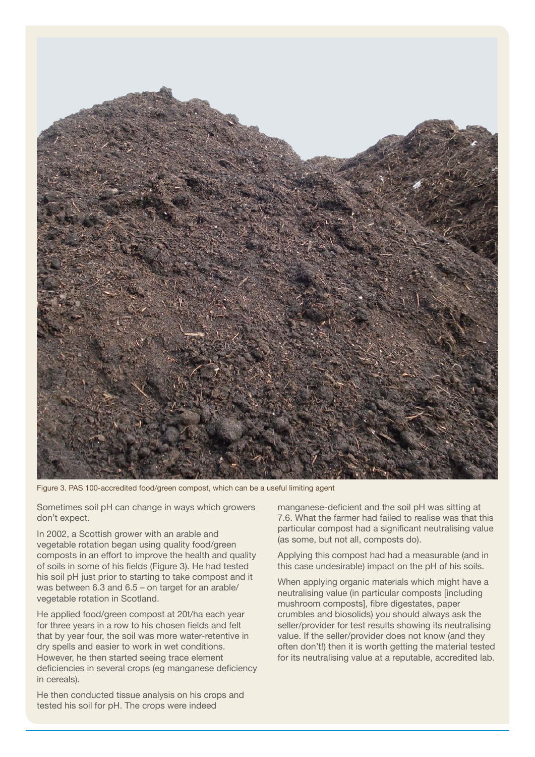

Figure 3. PAS 100-accredited food/green compost, which can be a useful limiting agent

Sometimes soil pH can change in ways which growers don't expect.

In 2002, a Scottish grower with an arable and vegetable rotation began using quality food/green composts in an effort to improve the health and quality of soils in some of his fields (Figure 3). He had tested his soil pH just prior to starting to take compost and it was between 6.3 and 6.5 – on target for an arable/ vegetable rotation in Scotland.

He applied food/green compost at 20t/ha each year for three years in a row to his chosen fields and felt that by year four, the soil was more water-retentive in dry spells and easier to work in wet conditions. However, he then started seeing trace element deficiencies in several crops (eg manganese deficiency in cereals).

He then conducted tissue analysis on his crops and tested his soil for pH. The crops were indeed

manganese-deficient and the soil pH was sitting at 7.6. What the farmer had failed to realise was that this particular compost had a significant neutralising value (as some, but not all, composts do).

Applying this compost had had a measurable (and in this case undesirable) impact on the pH of his soils.

When applying organic materials which might have a neutralising value (in particular composts [including mushroom composts], fibre digestates, paper crumbles and biosolids) you should always ask the seller/provider for test results showing its neutralising value. If the seller/provider does not know (and they often don't!) then it is worth getting the material tested for its neutralising value at a reputable, accredited lab.